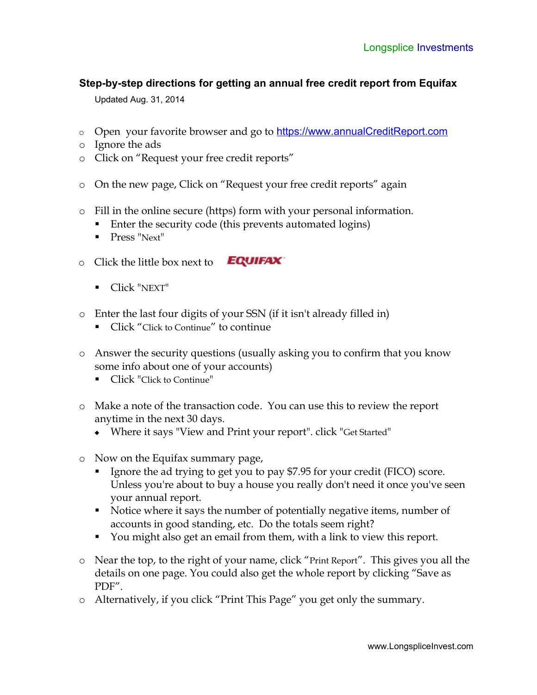## **Step-by-step directions for getting an annual free credit report from Equifax**

Updated Aug. 31, 2014

- o Open your favorite browser and go to [https://www.annualCreditReport.com](https://www.annualCreditReport.com/)
- o Ignore the ads
- o Click on "Request your free credit reports"
- o On the new page, Click on "Request your free credit reports" again
- o Fill in the online secure (https) form with your personal information.
	- Enter the security code (this prevents automated logins)
	- **Press** "Next"
- **EQUIFAX** o Click the little box next to
	- Click "NEXT"
- o Enter the last four digits of your SSN (if it isn't already filled in)
	- Click "Click to Continue" to continue
- o Answer the security questions (usually asking you to confirm that you know some info about one of your accounts)
	- Click "Click to Continue"
- o Make a note of the transaction code. You can use this to review the report anytime in the next 30 days.
	- Where it says "View and Print your report". click "Get Started"
- o Now on the Equifax summary page,
	- Ignore the ad trying to get you to pay \$7.95 for your credit (FICO) score. Unless you're about to buy a house you really don't need it once you've seen your annual report.
	- Notice where it says the number of potentially negative items, number of accounts in good standing, etc. Do the totals seem right?
	- You might also get an email from them, with a link to view this report.
- o Near the top, to the right of your name, click "Print Report". This gives you all the details on one page. You could also get the whole report by clicking "Save as PDF".
- o Alternatively, if you click "Print This Page" you get only the summary.